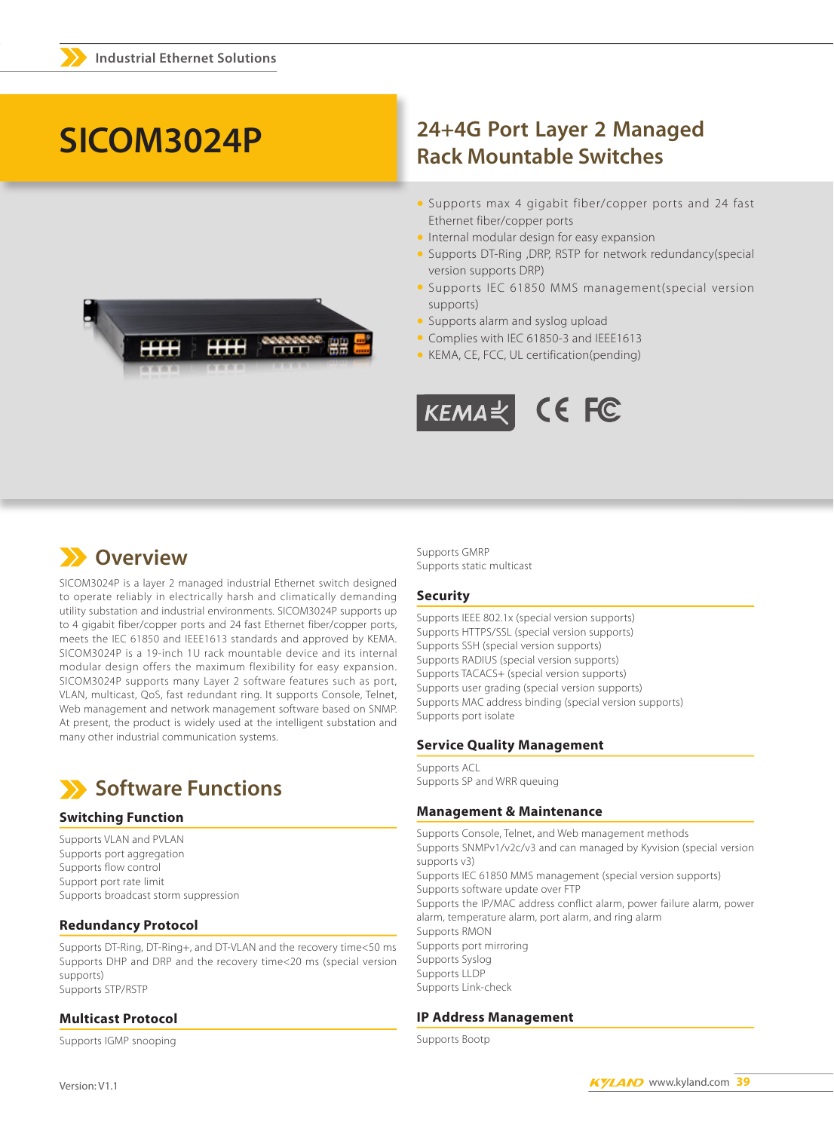# SICOM3024P

### 24+4G Port Layer 2 Managed **Rack Mountable Switches**

- Supports max 4 gigabit fiber/copper ports and 24 fast Ethernet fiber/copper ports
- Internal modular design for easy expansion
- Supports DT-Ring , DRP, RSTP for network redundancy(special version supports DRP)
- Supports IEC 61850 MMS management(special version supports)
- Supports alarm and syslog upload
- Complies with IEC 61850-3 and IEEE1613
- KEMA, CE, FCC, UL certification(pending)



### **XX** Overview

SICOM3024P is a layer 2 managed industrial Ethernet switch designed to operate reliably in electrically harsh and climatically demanding utility substation and industrial environments. SICOM3024P supports up to 4 gigabit fiber/copper ports and 24 fast Ethernet fiber/copper ports, meets the IEC 61850 and IEEE1613 standards and approved by KEMA. SICOM3024P is a 19-inch 1U rack mountable device and its internal modular design offers the maximum flexibility for easy expansion. SICOM3024P supports many Layer 2 software features such as port, VLAN, multicast, QoS, fast redundant ring. It supports Console, Telnet, Web management and network management software based on SNMP. At present, the product is widely used at the intelligent substation and many other industrial communication systems.



#### **Switching Function**

Supports VLAN and PVLAN Supports port aggregation Supports flow control Support port rate limit Supports broadcast storm suppression

#### **Redundancy Protocol**

Supports DT-Ring, DT-Ring+, and DT-VLAN and the recovery time<50 ms Supports DHP and DRP and the recovery time<20 ms (special version supports) Supports STP/RSTP

### **Multicast Protocol**

Supports IGMP snooping

**Supports GMRP** Supports static multicast

#### **Security**

Supports IEEE 802.1x (special version supports) Supports HTTPS/SSL (special version supports) Supports SSH (special version supports) Supports RADIUS (special version supports) Supports TACACS+ (special version supports) Supports user grading (special version supports) Supports MAC address binding (special version supports) Supports port isolate

#### **Service Quality Management**

Supports ACL Supports SP and WRR queuing

#### **Management & Maintenance**

Supports Console, Telnet, and Web management methods Supports SNMPv1/v2c/v3 and can managed by Kyvision (special version supports v3) Supports IEC 61850 MMS management (special version supports) Supports software update over FTP Supports the IP/MAC address conflict alarm, power failure alarm, power alarm, temperature alarm, port alarm, and ring alarm Supports RMON Supports port mirroring Supports Syslog Supports II DP Supports Link-check

#### **IP Address Management**

Supports Bootp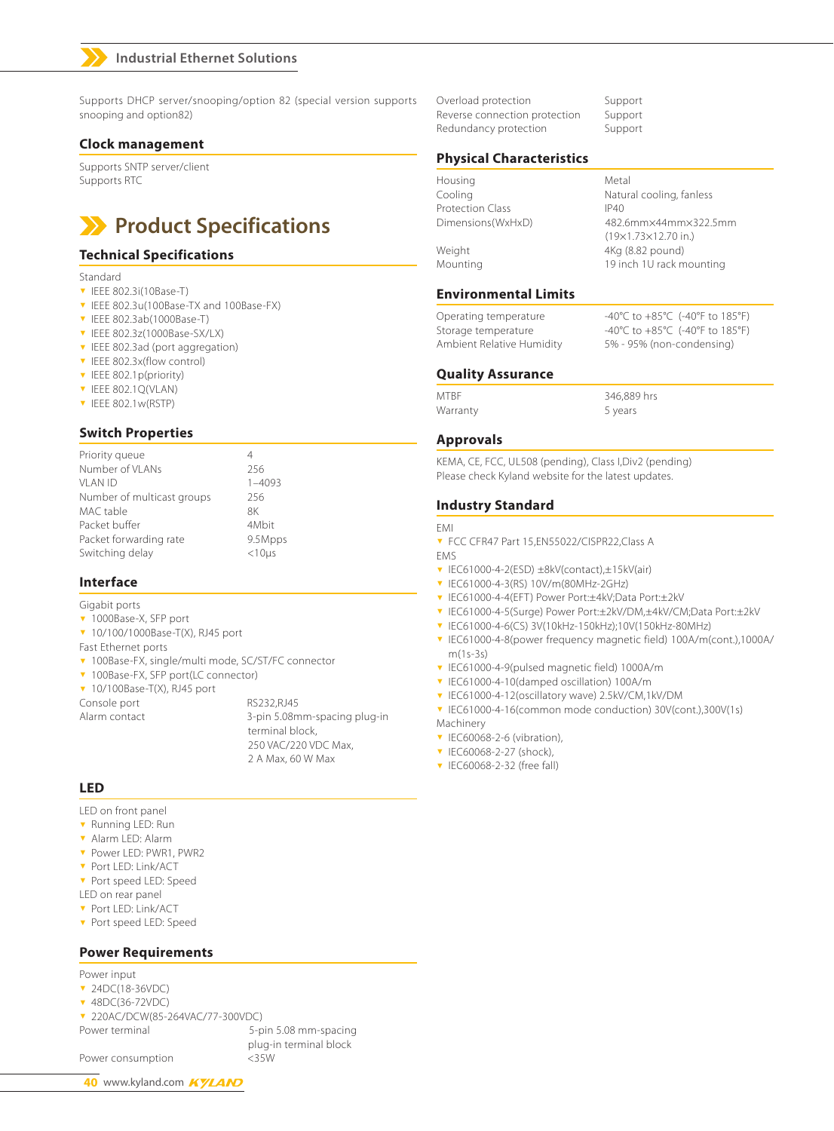### **Industrial Ethernet Solutions**

Supports DHCP server/snooping/option 82 (special version supports snooping and option82)

#### **Clock management**

Supports SNTP server/client Supports RTC

### **Product Specifications**

#### **Technical Specifications**

- Standard
- $\blacktriangledown$  IEEE 802.3i(10Base-T)
- <sup>ź</sup> IEEE 802.3u(100Base-TX and 100Base-FX)
- <sup>ź</sup> IEEE 802.3ab(1000Base-T)
- <sup>ź</sup> IEEE 802.3z(1000Base-SX/LX)
- **v** IEEE 802.3ad (port aggregation)
- **v** IEEE 802.3x(flow control)
- **v** IEEE 802.1p(priority)
- **v** IEEE 802.1O(VLAN)
- $\blacktriangledown$  IEEE 802.1w(RSTP)

#### **Switch Properties**

| Priority queue             | 4              |
|----------------------------|----------------|
| Number of VLANs            | 256            |
| VI AN ID                   | $1 - 4093$     |
| Number of multicast groups | 256            |
| MAC table                  | 8K             |
| Packet buffer              | 4Mbit          |
| Packet forwarding rate     | 9.5Mpps        |
| Switching delay            | $<$ 10 $\mu$ s |
|                            |                |

#### **Interface**

- Gigabit ports
- v 1000Base-X, SFP port
- <sup>ź</sup> 10/100/1000Base-T(X), RJ45 port
- Fast Ethernet ports
- **v** 100Base-FX, single/multi mode, SC/ST/FC connector
- **v** 100Base-FX, SFP port(LC connector)
- $\blacktriangledown$  10/100Base-T(X), RJ45 port

Console port RS232, RJ45 Alarm contact 3-pin 5.08mm-spacing plug-in terminal block, 250 VAC/220 VDC Max, 2 A Max, 60 W Max

#### **LED**

LED on front panel

- **v** Running LED: Run
- **v** Alarm LED: Alarm
- <sup>ź</sup> Power LED: PWR1, PWR2
- **v** Port LED: Link/ACT
- **v** Port speed LED: Speed
- LED on rear panel
- <sup>ź</sup> Port LED: Link/ACT
- **v** Port speed LED: Speed

#### **Power Requirements**

Power input

- ▼ 24DC(18-36VDC)
- **v** 48DC(36-72VDC)

<sup>ź</sup> 220AC/DCW(85-264VAC/77-300VDC)

Power terminal 5-pin 5.08 mm-spacing plug-in terminal block

Power consumption <35W

40 www.kyland.com **KYLAND** 

Overload protection Support Reverse connection protection Support Redundancy protection Support

#### **Physical Characteristics**

| Housing           | Metal                           |
|-------------------|---------------------------------|
| Cooling           | Natural cooling, fanless        |
| Protection Class  | IP40                            |
| Dimensions(WxHxD) | 482.6mm×44mm×322.5mm            |
|                   | $(19\times1.73\times12.70$ in.) |
| Weight            | 4Kg (8.82 pound)                |
| Mounting          | 19 inch 1U rack mounting        |
|                   |                                 |

#### **Environmental Limits**

Operating temperature -40°C to +85°C (-40°F to 185°F) Storage temperature -40°C to +85°C (-40°F to 185°F) Ambient Relative Humidity 5% - 95% (non-condensing)

#### **Quality Assurance**

MTBF 346,889 hrs Warranty 5 years

#### **Approvals**

KEMA, CE, FCC, UL508 (pending), Class I,Div2 (pending) Please check Kyland website for the latest updates.

#### **Industry Standard**

EMI

- **v** FCC CFR47 Part 15, EN55022/CISPR22, Class A
- EMS
- <sup>ź</sup> IEC61000-4-2(ESD) ±8kV(contact),±15kV(air)
- <sup>ź</sup> IEC61000-4-3(RS) 10V/m(80MHz-2GHz)
- <sup>ź</sup> IEC61000-4-4(EFT) Power Port:±4kV;Data Port:±2kV
- <sup>ź</sup> IEC61000-4-5(Surge) Power Port:±2kV/DM,±4kV/CM;Data Port:±2kV
- <sup>ź</sup> IEC61000-4-6(CS) 3V(10kHz-150kHz);10V(150kHz-80MHz)
- <sup>ź</sup> IEC61000-4-8(power frequency magnetic field) 100A/m(cont.),1000A/ m(1s-3s)
- <sup>ź</sup> IEC61000-4-9(pulsed magnetic field) 1000A/m
- **v** IEC61000-4-10(damped oscillation) 100A/m
- <sup>ź</sup> IEC61000-4-12(oscillatory wave) 2.5kV/CM,1kV/DM
- <sup>ź</sup> IEC61000-4-16(common mode conduction) 30V(cont.),300V(1s)
- Machinery
- $\blacktriangledown$  IEC60068-2-6 (vibration),
- $\triangledown$  IEC60068-2-27 (shock)
- **v** IEC60068-2-32 (free fall)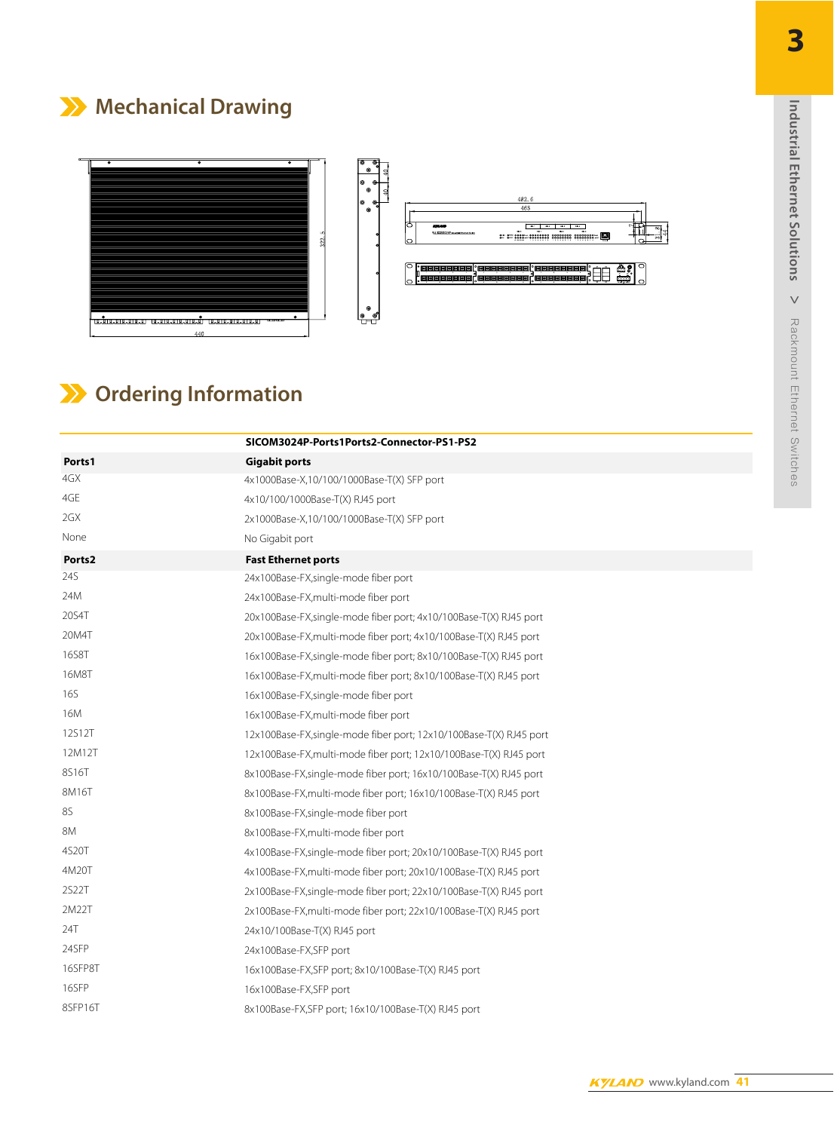## **Mechanical Drawing**



## **Ordering Information**

|            | SICOM3024P-Ports1Ports2-Connector-PS1-PS2                           |
|------------|---------------------------------------------------------------------|
| Ports1     | <b>Gigabit ports</b>                                                |
| 4GX        | 4x1000Base-X,10/100/1000Base-T(X) SFP port                          |
| 4GE        | 4x10/100/1000Base-T(X) RJ45 port                                    |
| 2GX        | 2x1000Base-X,10/100/1000Base-T(X) SFP port                          |
| None       | No Gigabit port                                                     |
| Ports2     | <b>Fast Ethernet ports</b>                                          |
| 24S        | 24x100Base-FX, single-mode fiber port                               |
| 24M        | 24x100Base-FX, multi-mode fiber port                                |
| 20S4T      | 20x100Base-FX, single-mode fiber port; 4x10/100Base-T(X) RJ45 port  |
| 20M4T      | 20x100Base-FX, multi-mode fiber port; 4x10/100Base-T(X) RJ45 port   |
| 16S8T      | 16x100Base-FX, single-mode fiber port; 8x10/100Base-T(X) RJ45 port  |
| 16M8T      | 16x100Base-FX, multi-mode fiber port; 8x10/100Base-T(X) RJ45 port   |
| <b>16S</b> | 16x100Base-FX, single-mode fiber port                               |
| 16M        | 16x100Base-FX, multi-mode fiber port                                |
| 12S12T     | 12x100Base-FX, single-mode fiber port; 12x10/100Base-T(X) RJ45 port |
| 12M12T     | 12x100Base-FX, multi-mode fiber port; 12x10/100Base-T(X) RJ45 port  |
| 8S16T      | 8x100Base-FX, single-mode fiber port; 16x10/100Base-T(X) RJ45 port  |
| 8M16T      | 8x100Base-FX, multi-mode fiber port; 16x10/100Base-T(X) RJ45 port   |
| 8S         | 8x100Base-FX,single-mode fiber port                                 |
| 8M         | 8x100Base-FX, multi-mode fiber port                                 |
| 4S20T      | 4x100Base-FX, single-mode fiber port; 20x10/100Base-T(X) RJ45 port  |
| 4M20T      | 4x100Base-FX, multi-mode fiber port; 20x10/100Base-T(X) RJ45 port   |
| 2S22T      | 2x100Base-FX, single-mode fiber port; 22x10/100Base-T(X) RJ45 port  |
| 2M22T      | 2x100Base-FX, multi-mode fiber port; 22x10/100Base-T(X) RJ45 port   |
| 24T        | 24x10/100Base-T(X) RJ45 port                                        |
| 24SFP      | 24x100Base-FX,SFP port                                              |
| 16SFP8T    | 16x100Base-FX, SFP port; 8x10/100Base-T(X) RJ45 port                |
| 16SFP      | 16x100Base-FX,SFP port                                              |
| 8SFP16T    | 8x100Base-FX,SFP port; 16x10/100Base-T(X) RJ45 port                 |
|            | SC connector, multi-mode, 1310nm, 5km                               |
|            | ST connector, multi-mode, 1310nm, 5km                               |

SC connector, single-mode, 1310nm, 40km ST connector, single-mode, 1310nm, 40km **3**